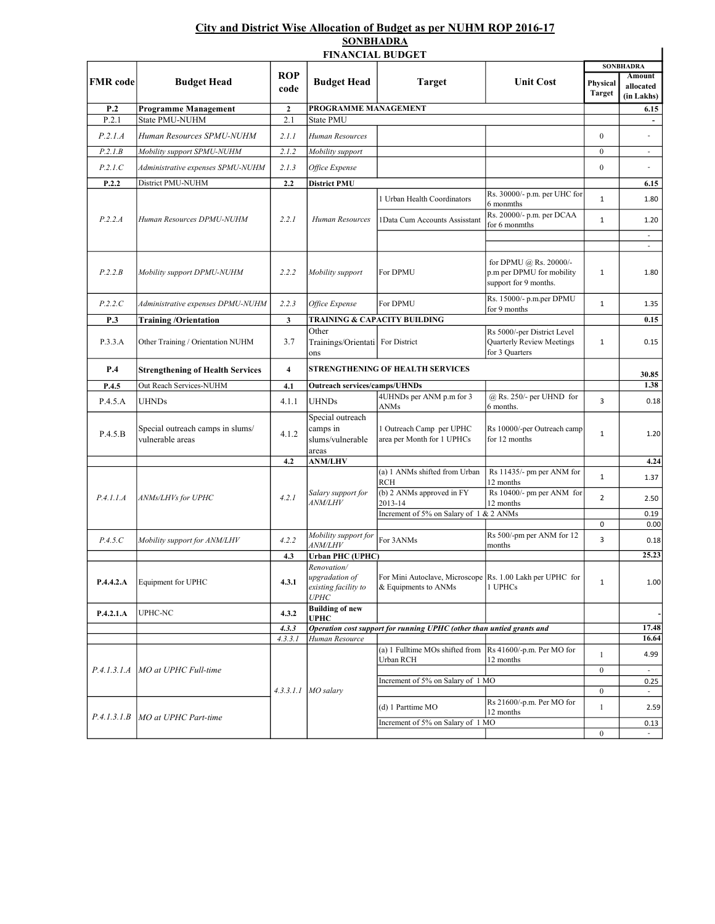## City and District Wise Allocation of Budget as per NUHM ROP 2016-17 SONBHADRA

|                 | <b>FINANCIAL BUDGET</b>                              |                    |                                                                             |                                                                                   |                                                                              |                  |                                         |  |  |  |  |  |  |  |
|-----------------|------------------------------------------------------|--------------------|-----------------------------------------------------------------------------|-----------------------------------------------------------------------------------|------------------------------------------------------------------------------|------------------|-----------------------------------------|--|--|--|--|--|--|--|
| <b>FMR</b> code | <b>Budget Head</b>                                   | <b>ROP</b><br>code | <b>Budget Head</b>                                                          | <b>Target</b>                                                                     | <b>Unit Cost</b>                                                             | Physical         | <b>SONBHADRA</b><br>Amount<br>allocated |  |  |  |  |  |  |  |
|                 |                                                      |                    |                                                                             |                                                                                   |                                                                              | <b>Target</b>    | (in Lakhs)                              |  |  |  |  |  |  |  |
| P.2             | <b>Programme Management</b>                          | $\mathbf{2}$       | PROGRAMME MANAGEMENT                                                        |                                                                                   | 6.15                                                                         |                  |                                         |  |  |  |  |  |  |  |
| P.2.1           | State PMU-NUHM                                       | 2.1                | State PMU                                                                   |                                                                                   |                                                                              |                  | $\blacksquare$                          |  |  |  |  |  |  |  |
| P.2.1.A         | Human Resources SPMU-NUHM                            | 2.1.1              | Human Resources                                                             |                                                                                   |                                                                              | $\overline{0}$   | $\overline{a}$                          |  |  |  |  |  |  |  |
| P.2.1.B         | Mobility support SPMU-NUHM                           | 2.1.2              | Mobility support                                                            |                                                                                   |                                                                              | $\boldsymbol{0}$ | $\overline{\phantom{a}}$                |  |  |  |  |  |  |  |
| P.2.1.C         | Administrative expenses SPMU-NUHM                    | 2.1.3              | Office Expense                                                              |                                                                                   |                                                                              | $\boldsymbol{0}$ | $\overline{a}$                          |  |  |  |  |  |  |  |
| P.2.2           | District PMU-NUHM                                    | 2.2                | <b>District PMU</b>                                                         |                                                                                   |                                                                              |                  | 6.15                                    |  |  |  |  |  |  |  |
| P.2.2.A         | Human Resources DPMU-NUHM                            | 2.2.1              | Human Resources                                                             | 1 Urban Health Coordinators                                                       | Rs. 30000/- p.m. per UHC for<br>6 monmths<br>Rs. 20000/- p.m. per DCAA       | $\mathbf{1}$     | 1.80                                    |  |  |  |  |  |  |  |
|                 |                                                      |                    |                                                                             | 1Data Cum Accounts Assisstant                                                     | for 6 monmths                                                                | $\mathbf{1}$     | 1.20                                    |  |  |  |  |  |  |  |
|                 |                                                      |                    |                                                                             |                                                                                   |                                                                              |                  | $\overline{\phantom{a}}$                |  |  |  |  |  |  |  |
| P.2.2.B         | Mobility support DPMU-NUHM                           | 2.2.2              | Mobility support                                                            | For DPMU                                                                          | for DPMU @ Rs. 20000/-<br>p.m per DPMU for mobility<br>support for 9 months. | 1                | 1.80                                    |  |  |  |  |  |  |  |
| P.2.2.C         | Administrative expenses DPMU-NUHM                    | 2.2.3              | Office Expense                                                              | For DPMU                                                                          | Rs. 15000/- p.m.per DPMU<br>for 9 months                                     | $\mathbf{1}$     | 1.35                                    |  |  |  |  |  |  |  |
| P.3             | <b>Training/Orientation</b>                          | 3                  |                                                                             | <b>TRAINING &amp; CAPACITY BUILDING</b>                                           |                                                                              |                  | 0.15                                    |  |  |  |  |  |  |  |
| P.3.3.A         | Other Training / Orientation NUHM                    | 3.7                | Other<br>Trainings/Orientati For District<br>ons                            |                                                                                   | Rs 5000/-per District Level<br>Quarterly Review Meetings<br>for 3 Quarters   | $1\,$            | 0.15                                    |  |  |  |  |  |  |  |
| P.4             | <b>Strengthening of Health Services</b>              | 4                  | <b>STRENGTHENING OF HEALTH SERVICES</b>                                     |                                                                                   |                                                                              |                  | 30.85                                   |  |  |  |  |  |  |  |
| P.4.5           | Out Reach Services-NUHM                              | 4.1                | <b>Outreach services/camps/UHNDs</b>                                        |                                                                                   |                                                                              |                  | 1.38                                    |  |  |  |  |  |  |  |
| P.4.5.A         | UHNDs                                                | 4.1.1              | <b>UHNDs</b>                                                                | 4UHNDs per ANM p.m for 3<br>ANMs                                                  | $@$ Rs. 250/- per UHND for<br>6 months.                                      | $\overline{3}$   | 0.18                                    |  |  |  |  |  |  |  |
| P.4.5.B         | Special outreach camps in slums/<br>vulnerable areas | 4.1.2              | Special outreach<br>camps in<br>slums/vulnerable<br>areas                   | 1 Outreach Camp per UPHC<br>area per Month for 1 UPHCs                            | Rs 10000/-per Outreach camp<br>for 12 months                                 | $\mathbf{1}$     | 1.20                                    |  |  |  |  |  |  |  |
|                 |                                                      | 4.2                | <b>ANM/LHV</b>                                                              |                                                                                   |                                                                              |                  | 4.24                                    |  |  |  |  |  |  |  |
| P.4.1.1.A       | ANMs/LHVs for UPHC                                   | 4.2.1              | Salary support for<br><i>ANM/LHV</i>                                        | (a) 1 ANMs shifted from Urban<br><b>RCH</b>                                       | Rs 11435/- pm per ANM for<br>12 months                                       | $\mathbf{1}$     | 1.37                                    |  |  |  |  |  |  |  |
|                 |                                                      |                    |                                                                             | (b) 2 ANMs approved in FY<br>2013-14                                              | Rs 10400/- pm per ANM for<br>12 months                                       | $\overline{2}$   | 2.50                                    |  |  |  |  |  |  |  |
|                 |                                                      |                    |                                                                             | Increment of 5% on Salary of 1 & 2 ANMs                                           |                                                                              |                  | 0.19                                    |  |  |  |  |  |  |  |
| P.4.5.C         | Mobility support for ANM/LHV                         | 4.2.2              | Mobility support for<br><i>ANM/LHV</i>                                      | For 3ANMs                                                                         | Rs 500/-pm per ANM for 12                                                    | $\pmb{0}$<br>3   | 0.00<br>0.18                            |  |  |  |  |  |  |  |
|                 |                                                      | 4.3                | <b>Urban PHC (UPHC)</b>                                                     |                                                                                   | months                                                                       |                  | 25.23                                   |  |  |  |  |  |  |  |
| P.4.4.2.A       | Equipment for UPHC                                   | 4.3.1              | Renovation/<br>upgradation of<br>existing facility to<br><i><b>UPHC</b></i> | For Mini Autoclave, Microscope Rs. 1.00 Lakh per UPHC for<br>& Equipments to ANMs | 1 UPHCs                                                                      | $\mathbf{1}$     | 1.00                                    |  |  |  |  |  |  |  |
| P.4.2.1.A       | UPHC-NC                                              | 4.3.2              | <b>Building of new</b><br><b>UPHC</b>                                       |                                                                                   |                                                                              |                  |                                         |  |  |  |  |  |  |  |
|                 |                                                      | 4.3.3              |                                                                             | Operation cost support for running UPHC (other than untied grants and             |                                                                              |                  | 17.48                                   |  |  |  |  |  |  |  |
|                 |                                                      | 4.3.3.1            | Human Resource                                                              |                                                                                   |                                                                              |                  | 16.64                                   |  |  |  |  |  |  |  |
| P.4.1.3.1.A     | MO at UPHC Full-time                                 |                    | $4.3.3.1.1$ MO salary                                                       | (a) 1 Fulltime MOs shifted from<br>Urban RCH                                      | Rs 41600/-p.m. Per MO for<br>12 months                                       | $\mathbf{1}$     | 4.99                                    |  |  |  |  |  |  |  |
|                 |                                                      |                    |                                                                             | Increment of 5% on Salary of 1 MO                                                 |                                                                              | $\boldsymbol{0}$ | $\sim$<br>0.25                          |  |  |  |  |  |  |  |
|                 |                                                      |                    |                                                                             |                                                                                   |                                                                              | $\boldsymbol{0}$ | $\sim$                                  |  |  |  |  |  |  |  |
| P.4.1.3.1.B     | MO at UPHC Part-time                                 |                    |                                                                             | (d) 1 Parttime MO                                                                 | Rs 21600/-p.m. Per MO for<br>12 months                                       | $\mathbf{1}$     | 2.59                                    |  |  |  |  |  |  |  |
|                 |                                                      |                    |                                                                             | Increment of 5% on Salary of 1 MO                                                 |                                                                              |                  | 0.13                                    |  |  |  |  |  |  |  |
|                 |                                                      |                    |                                                                             |                                                                                   |                                                                              | $\boldsymbol{0}$ | $\sim$                                  |  |  |  |  |  |  |  |